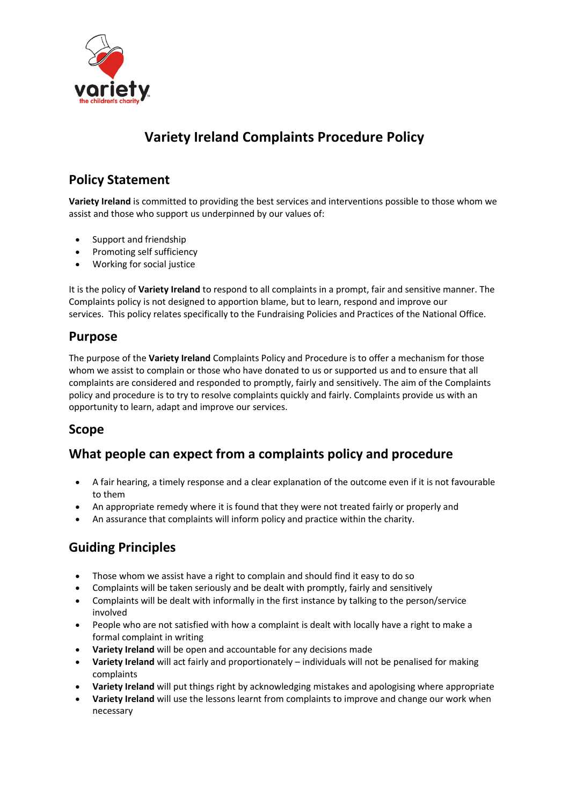

# **Variety Ireland Complaints Procedure Policy**

### **Policy Statement**

**Variety Ireland** is committed to providing the best services and interventions possible to those whom we assist and those who support us underpinned by our values of:

- Support and friendship
- Promoting self sufficiency
- Working for social justice

It is the policy of **Variety Ireland** to respond to all complaints in a prompt, fair and sensitive manner. The Complaints policy is not designed to apportion blame, but to learn, respond and improve our services. This policy relates specifically to the Fundraising Policies and Practices of the National Office.

#### **Purpose**

The purpose of the **Variety Ireland** Complaints Policy and Procedure is to offer a mechanism for those whom we assist to complain or those who have donated to us or supported us and to ensure that all complaints are considered and responded to promptly, fairly and sensitively. The aim of the Complaints policy and procedure is to try to resolve complaints quickly and fairly. Complaints provide us with an opportunity to learn, adapt and improve our services.

#### **Scope**

### **What people can expect from a complaints policy and procedure**

- A fair hearing, a timely response and a clear explanation of the outcome even if it is not favourable to them
- An appropriate remedy where it is found that they were not treated fairly or properly and
- An assurance that complaints will inform policy and practice within the charity.

### **Guiding Principles**

- Those whom we assist have a right to complain and should find it easy to do so
- Complaints will be taken seriously and be dealt with promptly, fairly and sensitively
- Complaints will be dealt with informally in the first instance by talking to the person/service involved
- People who are not satisfied with how a complaint is dealt with locally have a right to make a formal complaint in writing
- **Variety Ireland** will be open and accountable for any decisions made
- **Variety Ireland** will act fairly and proportionately individuals will not be penalised for making complaints
- **Variety Ireland** will put things right by acknowledging mistakes and apologising where appropriate
- **Variety Ireland** will use the lessons learnt from complaints to improve and change our work when necessary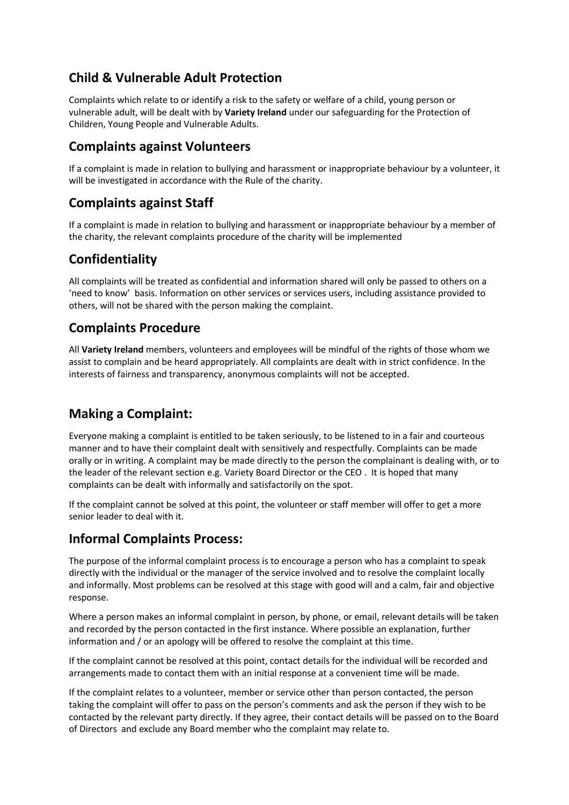### **Child & Vulnerable Adult Protection**

Complaints which relate to or identify a risk to the safety or welfare of a child, young person or vulnerable adult, will be dealt with by **Variety Ireland** under our safeguarding for the Protection of Children, Young People and Vulnerable Adults.

#### **Complaints against Volunteers**

If a complaint is made in relation to bullying and harassment or inappropriate behaviour by a volunteer, it will be investigated in accordance with the Rule of the charity.

### **Complaints against Staff**

If a complaint is made in relation to bullying and harassment or inappropriate behaviour by a member of the charity, the relevant complaints procedure of the charity will be implemented

### **Confidentiality**

All complaints will be treated as confidential and information shared will only be passed to others on a 'need to know' basis. Information on other services or services users, including assistance provided to others, will not be shared with the person making the complaint.

### **Complaints Procedure**

All **Variety Ireland** members, volunteers and employees will be mindful of the rights of those whom we assist to complain and be heard appropriately. All complaints are dealt with in strict confidence. In the interests of fairness and transparency, anonymous complaints will not be accepted.

### **Making a Complaint:**

Everyone making a complaint is entitled to be taken seriously, to be listened to in a fair and courteous manner and to have their complaint dealt with sensitively and respectfully. Complaints can be made orally or in writing. A complaint may be made directly to the person the complainant is dealing with, or to the leader of the relevant section e.g. Variety Board Director or the CEO . It is hoped that many complaints can be dealt with informally and satisfactorily on the spot.

If the complaint cannot be solved at this point, the volunteer or staff member will offer to get a more senior leader to deal with it.

#### **Informal Complaints Process:**

The purpose of the informal complaint process is to encourage a person who has a complaint to speak directly with the individual or the manager of the service involved and to resolve the complaint locally and informally. Most problems can be resolved at this stage with good will and a calm, fair and objective response.

Where a person makes an informal complaint in person, by phone, or email, relevant details will be taken and recorded by the person contacted in the first instance. Where possible an explanation, further information and / or an apology will be offered to resolve the complaint at this time.

If the complaint cannot be resolved at this point, contact details for the individual will be recorded and arrangements made to contact them with an initial response at a convenient time will be made.

If the complaint relates to a volunteer, member or service other than person contacted, the person taking the complaint will offer to pass on the person's comments and ask the person if they wish to be contacted by the relevant party directly. If they agree, their contact details will be passed on to the Board of Directors and exclude any Board member who the complaint may relate to.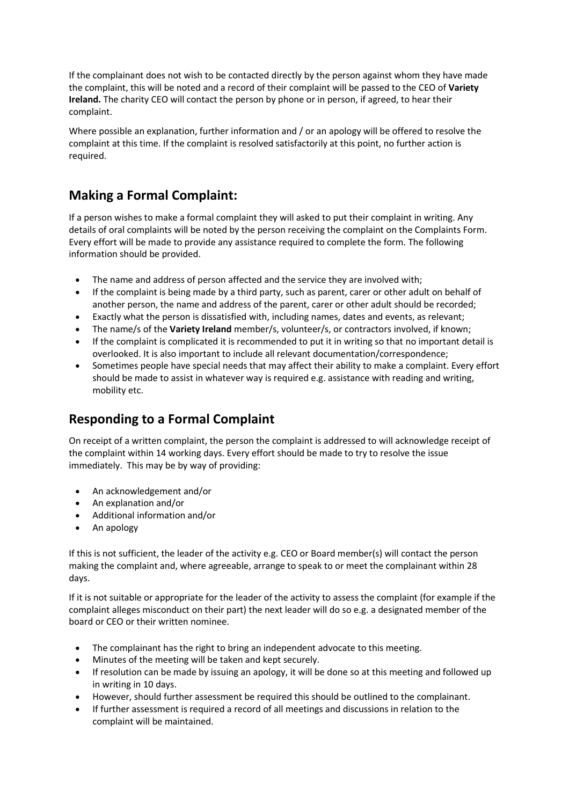If the complainant does not wish to be contacted directly by the person against whom they have made the complaint, this will be noted and a record of their complaint will be passed to the CEO of **Variety Ireland.** The charity CEO will contact the person by phone or in person, if agreed, to hear their complaint.

Where possible an explanation, further information and / or an apology will be offered to resolve the complaint at this time. If the complaint is resolved satisfactorily at this point, no further action is required.

### **Making a Formal Complaint:**

If a person wishes to make a formal complaint they will asked to put their complaint in writing. Any details of oral complaints will be noted by the person receiving the complaint on the Complaints Form. Every effort will be made to provide any assistance required to complete the form. The following information should be provided.

- The name and address of person affected and the service they are involved with;
- If the complaint is being made by a third party, such as parent, carer or other adult on behalf of another person, the name and address of the parent, carer or other adult should be recorded;
- Exactly what the person is dissatisfied with, including names, dates and events, as relevant;
- The name/s of the **Variety Ireland** member/s, volunteer/s, or contractors involved, if known;
- If the complaint is complicated it is recommended to put it in writing so that no important detail is overlooked. It is also important to include all relevant documentation/correspondence;
- Sometimes people have special needs that may affect their ability to make a complaint. Every effort should be made to assist in whatever way is required e.g. assistance with reading and writing, mobility etc.

### **Responding to a Formal Complaint**

On receipt of a written complaint, the person the complaint is addressed to will acknowledge receipt of the complaint within 14 working days. Every effort should be made to try to resolve the issue immediately. This may be by way of providing:

- An acknowledgement and/or
- An explanation and/or
- Additional information and/or
- An apology

If this is not sufficient, the leader of the activity e.g. CEO or Board member(s) will contact the person making the complaint and, where agreeable, arrange to speak to or meet the complainant within 28 days.

If it is not suitable or appropriate for the leader of the activity to assess the complaint (for example if the complaint alleges misconduct on their part) the next leader will do so e.g. a designated member of the board or CEO or their written nominee.

- The complainant has the right to bring an independent advocate to this meeting.
- Minutes of the meeting will be taken and kept securely.
- If resolution can be made by issuing an apology, it will be done so at this meeting and followed up in writing in 10 days.
- However, should further assessment be required this should be outlined to the complainant.
- If further assessment is required a record of all meetings and discussions in relation to the complaint will be maintained.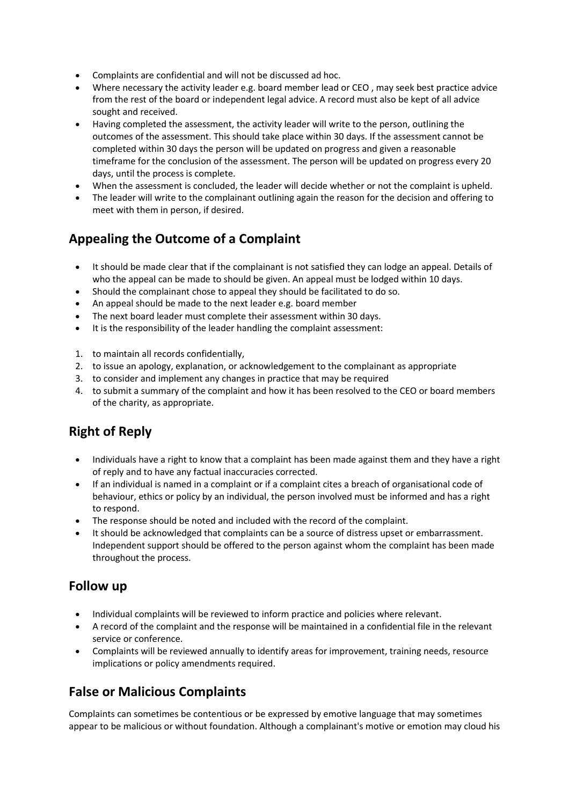- Complaints are confidential and will not be discussed ad hoc.
- Where necessary the activity leader e.g. board member lead or CEO , may seek best practice advice from the rest of the board or independent legal advice. A record must also be kept of all advice sought and received.
- Having completed the assessment, the activity leader will write to the person, outlining the outcomes of the assessment. This should take place within 30 days. If the assessment cannot be completed within 30 days the person will be updated on progress and given a reasonable timeframe for the conclusion of the assessment. The person will be updated on progress every 20 days, until the process is complete.
- When the assessment is concluded, the leader will decide whether or not the complaint is upheld.
- The leader will write to the complainant outlining again the reason for the decision and offering to meet with them in person, if desired.

### **Appealing the Outcome of a Complaint**

- It should be made clear that if the complainant is not satisfied they can lodge an appeal. Details of who the appeal can be made to should be given. An appeal must be lodged within 10 days.
- Should the complainant chose to appeal they should be facilitated to do so.
- An appeal should be made to the next leader e.g. board member
- The next board leader must complete their assessment within 30 days.
- It is the responsibility of the leader handling the complaint assessment:
- 1. to maintain all records confidentially,
- 2. to issue an apology, explanation, or acknowledgement to the complainant as appropriate
- 3. to consider and implement any changes in practice that may be required
- 4. to submit a summary of the complaint and how it has been resolved to the CEO or board members of the charity, as appropriate.

## **Right of Reply**

- Individuals have a right to know that a complaint has been made against them and they have a right of reply and to have any factual inaccuracies corrected.
- If an individual is named in a complaint or if a complaint cites a breach of organisational code of behaviour, ethics or policy by an individual, the person involved must be informed and has a right to respond.
- The response should be noted and included with the record of the complaint.
- It should be acknowledged that complaints can be a source of distress upset or embarrassment. Independent support should be offered to the person against whom the complaint has been made throughout the process.

#### **Follow up**

- Individual complaints will be reviewed to inform practice and policies where relevant.
- A record of the complaint and the response will be maintained in a confidential file in the relevant service or conference.
- Complaints will be reviewed annually to identify areas for improvement, training needs, resource implications or policy amendments required.

### **False or Malicious Complaints**

Complaints can sometimes be contentious or be expressed by emotive language that may sometimes appear to be malicious or without foundation. Although a complainant's motive or emotion may cloud his